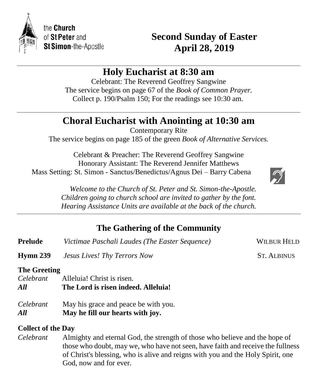

# **Second Sunday of Easter April 28, 2019**

# **Holy Eucharist at 8:30 am**

Celebrant: The Reverend Geoffrey Sangwine The service begins on page 67 of the *Book of Common Prayer.* Collect p. 190/Psalm 150; For the readings see 10:30 am.

# **Choral Eucharist with Anointing at 10:30 am**

Contemporary Rite The service begins on page 185 of the green *Book of Alternative Services.*

Celebrant & Preacher: The Reverend Geoffrey Sangwine Honorary Assistant: The Reverend Jennifer Matthews Mass Setting: St. Simon - Sanctus/Benedictus/Agnus Dei – Barry Cabena



 *Welcome to the Church of St. Peter and St. Simon-the-Apostle. Children going to church school are invited to gather by the font. Hearing Assistance Units are available at the back of the church.*

# **The Gathering of the Community**

| <b>Prelude</b>            | Victimae Paschali Laudes (The Easter Sequence) | <b>WILBUR HELD</b> |
|---------------------------|------------------------------------------------|--------------------|
| Hymn 239                  | <b>Jesus Lives! Thy Terrors Now</b>            | <b>ST. ALBINUS</b> |
| <b>The Greeting</b>       |                                                |                    |
| Celebrant                 | Alleluia! Christ is risen.                     |                    |
| All                       | The Lord is risen indeed. Alleluia!            |                    |
| Celebrant                 | May his grace and peace be with you.           |                    |
| All                       | May he fill our hearts with joy.               |                    |
| <b>Collect of the Day</b> |                                                |                    |

*Celebrant* Almighty and eternal God, the strength of those who believe and the hope of those who doubt, may we, who have not seen, have faith and receive the fullness of Christ's blessing, who is alive and reigns with you and the Holy Spirit, one God, now and for ever.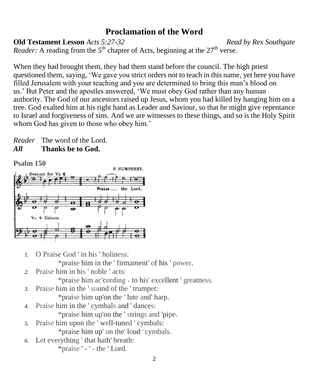# **Proclamation of the Word**

**Old Testament Lesson** *Acts 5:27-32**Read by Rex Southgate*

*Reader:* A reading from the  $5<sup>th</sup>$  chapter of Acts, beginning at the  $27<sup>th</sup>$  verse.

When they had brought them, they had them stand before the council. The high priest questioned them, saying, 'We gave you strict orders not to teach in this name, yet here you have filled Jerusalem with your teaching and you are determined to bring this man's blood on us.' But Peter and the apostles answered, 'We must obey God rather than any human authority. The God of our ancestors raised up Jesus, whom you had killed by hanging him on a tree. God exalted him at his right hand as Leader and Saviour, so that he might give repentance to Israel and forgiveness of sins. And we are witnesses to these things, and so is the Holy Spirit whom God has given to those who obey him.'

*Reader* The word of the Lord. *All* **Thanks be to God.**

**Psalm 150**



*1.* O Praise God ' in his ' holiness:

\*praise him in the ' firmament' of his ' power.

*2.* Praise him in his ' noble ' acts:

\*praise him ac'cording ˖ to his' excellent ' greatness.

*3.* Praise him in the ' sound of the ' trumpet:

\*praise him up'on the ' lute and' harp.

- *4.* Praise him in the ' cymbals and ' dances: \*praise him up'on the ' strings and 'pipe.
- *5.* Praise him upon the ' well-tuned ' cymbals: \*praise him up' on the' loud ' cymbals.
- *6.* Let everything ' that hath' breath: \*praise ' - ' - the ' Lord.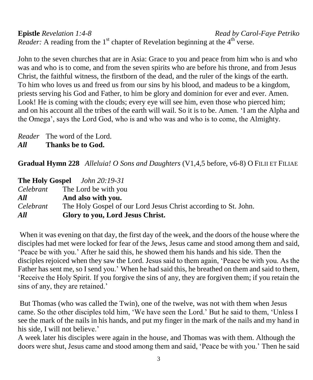**Epistle** *Revelation 1:4-8 Read by Carol-Faye Petriko Reader:* A reading from the  $1<sup>st</sup>$  chapter of Revelation beginning at the  $4<sup>th</sup>$  verse.

John to the seven churches that are in Asia: Grace to you and peace from him who is and who was and who is to come, and from the seven spirits who are before his throne, and from Jesus Christ, the faithful witness, the firstborn of the dead, and the ruler of the kings of the earth. To him who loves us and freed us from our sins by his blood, and madeus to be a kingdom, priests serving his God and Father, to him be glory and dominion for ever and ever. Amen. Look! He is coming with the clouds; every eye will see him, even those who pierced him; and on his account all the tribes of the earth will wail. So it is to be. Amen. 'I am the Alpha and the Omega', says the Lord God, who is and who was and who is to come, the Almighty.

*Reader* The word of the Lord. *All* **Thanks be to God.**

**Gradual Hymn 228** *Alleluia! O Sons and Daughters* (V1,4,5 before, v6-8) O FILII ET FILIAE

|           | <b>The Holy Gospel</b> John 20:19-31                            |
|-----------|-----------------------------------------------------------------|
|           | <i>Celebrant</i> The Lord be with you                           |
| All       | And also with you.                                              |
| Celebrant | The Holy Gospel of our Lord Jesus Christ according to St. John. |
| All       | Glory to you, Lord Jesus Christ.                                |

When it was evening on that day, the first day of the week, and the doors of the house where the disciples had met were locked for fear of the Jews, Jesus came and stood among them and said, 'Peace be with you.' After he said this, he showed them his hands and his side. Then the disciples rejoiced when they saw the Lord. Jesus said to them again, 'Peace be with you. As the Father has sent me, so I send you.' When he had said this, he breathed on them and said to them, 'Receive the Holy Spirit. If you forgive the sins of any, they are forgiven them; if you retain the sins of any, they are retained.'

But Thomas (who was called the Twin), one of the twelve, was not with them when Jesus came. So the other disciples told him, 'We have seen the Lord.' But he said to them, 'Unless I see the mark of the nails in his hands, and put my finger in the mark of the nails and my hand in his side, I will not believe.'

A week later his disciples were again in the house, and Thomas was with them. Although the doors were shut, Jesus came and stood among them and said, 'Peace be with you.' Then he said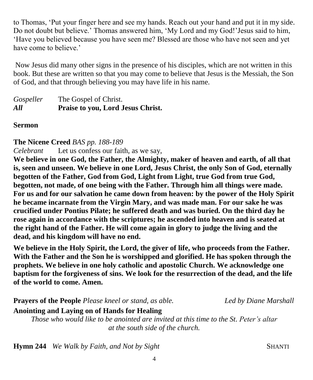to Thomas, 'Put your finger here and see my hands. Reach out your hand and put it in my side. Do not doubt but believe.' Thomas answered him, 'My Lord and my God!'Jesus said to him, 'Have you believed because you have seen me? Blessed are those who have not seen and yet have come to believe.<sup>'</sup>

Now Jesus did many other signs in the presence of his disciples, which are not written in this book. But these are written so that you may come to believe that Jesus is the Messiah, the Son of God, and that through believing you may have life in his name.

### **Sermon**

**The Nicene Creed** *BAS pp. 188-189*

*Celebrant* Let us confess our faith, as we say,

**We believe in one God, the Father, the Almighty, maker of heaven and earth, of all that is, seen and unseen. We believe in one Lord, Jesus Christ, the only Son of God, eternally begotten of the Father, God from God, Light from Light, true God from true God, begotten, not made, of one being with the Father. Through him all things were made. For us and for our salvation he came down from heaven: by the power of the Holy Spirit he became incarnate from the Virgin Mary, and was made man. For our sake he was crucified under Pontius Pilate; he suffered death and was buried. On the third day he rose again in accordance with the scriptures; he ascended into heaven and is seated at the right hand of the Father. He will come again in glory to judge the living and the dead, and his kingdom will have no end.** 

**We believe in the Holy Spirit, the Lord, the giver of life, who proceeds from the Father. With the Father and the Son he is worshipped and glorified. He has spoken through the prophets. We believe in one holy catholic and apostolic Church. We acknowledge one baptism for the forgiveness of sins. We look for the resurrection of the dead, and the life of the world to come. Amen.**

**Prayers of the People** *Please kneel or stand, as able. Led by Diane Marshall*

**Anointing and Laying on of Hands for Healing** *Those who would like to be anointed are invited at this time to the St. Peter's altar*

*at the south side of the church.*

**Hymn 244** *We Walk by Faith, and Not by Sight* **SHANTI SHANTI**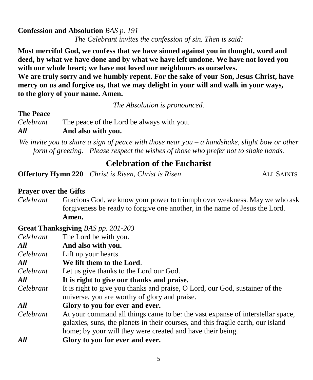### **Confession and Absolution** *BAS p. 191*

*The Celebrant invites the confession of sin. Then is said:*

**Most merciful God, we confess that we have sinned against you in thought, word and deed, by what we have done and by what we have left undone. We have not loved you with our whole heart; we have not loved our neighbours as ourselves.**

**We are truly sorry and we humbly repent. For the sake of your Son, Jesus Christ, have mercy on us and forgive us, that we may delight in your will and walk in your ways, to the glory of your name. Amen.** 

*The Absolution is pronounced.*

#### **The Peace**

*Celebrant* The peace of the Lord be always with you. *All* **And also with you.**

*We invite you to share a sign of peace with those near you – a handshake, slight bow or other form of greeting. Please respect the wishes of those who prefer not to shake hands.*

## **Celebration of the Eucharist**

**Offertory Hymn 220** *Christ is Risen, Christ is Risen* ALL SAINTS

#### **Prayer over the Gifts**

*Celebrant* Gracious God, we know your power to triumph over weakness. May we who ask forgiveness be ready to forgive one another, in the name of Jesus the Lord. **Amen.**

#### **Great Thanksgiving** *BAS pp. 201-203*

| Celebrant | The Lord be with you.                                                            |  |
|-----------|----------------------------------------------------------------------------------|--|
| All       | And also with you.                                                               |  |
| Celebrant | Lift up your hearts.                                                             |  |
| All       | We lift them to the Lord.                                                        |  |
| Celebrant | Let us give thanks to the Lord our God.                                          |  |
| All       | It is right to give our thanks and praise.                                       |  |
| Celebrant | It is right to give you thanks and praise, O Lord, our God, sustainer of the     |  |
|           | universe, you are worthy of glory and praise.                                    |  |
| All       | Glory to you for ever and ever.                                                  |  |
| Celebrant | At your command all things came to be: the vast expanse of interstellar space,   |  |
|           | galaxies, suns, the planets in their courses, and this fragile earth, our island |  |
|           | home; by your will they were created and have their being.                       |  |
| All       | Glory to you for ever and ever.                                                  |  |
|           |                                                                                  |  |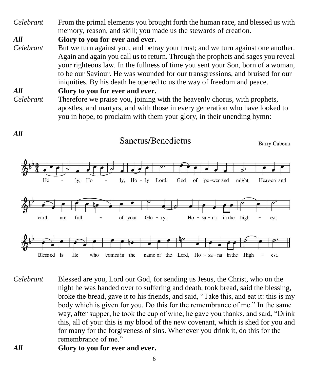*Celebrant* From the primal elements you brought forth the human race, and blessed us with memory, reason, and skill; you made us the stewards of creation.

*All* **Glory to you for ever and ever.** 

*Celebrant* But we turn against you, and betray your trust; and we turn against one another. Again and again you call us to return. Through the prophets and sages you reveal your righteous law. In the fullness of time you sent your Son, born of a woman, to be our Saviour. He was wounded for our transgressions, and bruised for our iniquities. By his death he opened to us the way of freedom and peace.

*All* **Glory to you for ever and ever.** *Celebrant* Therefore we praise you, joining with the heavenly chorus, with prophets, apostles, and martyrs, and with those in every generation who have looked to you in hope, to proclaim with them your glory, in their unending hymn:



- *Celebrant* Blessed are you, Lord our God, for sending us Jesus, the Christ, who on the night he was handed over to suffering and death, took bread, said the blessing, broke the bread, gave it to his friends, and said, "Take this, and eat it: this is my body which is given for you. Do this for the remembrance of me." In the same way, after supper, he took the cup of wine; he gave you thanks, and said, "Drink this, all of you: this is my blood of the new covenant, which is shed for you and for many for the forgiveness of sins. Whenever you drink it, do this for the remembrance of me."
- *All* **Glory to you for ever and ever.**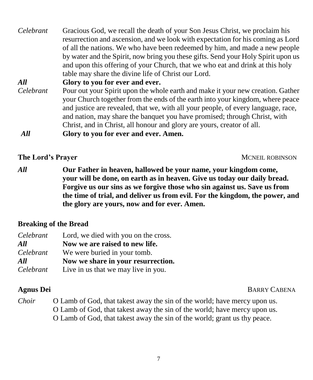| Celebrant | Gracious God, we recall the death of your Son Jesus Christ, we proclaim his       |  |  |
|-----------|-----------------------------------------------------------------------------------|--|--|
|           | resurrection and ascension, and we look with expectation for his coming as Lord   |  |  |
|           | of all the nations. We who have been redeemed by him, and made a new people       |  |  |
|           | by water and the Spirit, now bring you these gifts. Send your Holy Spirit upon us |  |  |
|           | and upon this offering of your Church, that we who eat and drink at this holy     |  |  |
|           | table may share the divine life of Christ our Lord.                               |  |  |
| All       | Glory to you for ever and ever.                                                   |  |  |
| Celebrant | Pour out your Spirit upon the whole earth and make it your new creation. Gather   |  |  |
|           | your Church together from the ends of the earth into your kingdom, where peace    |  |  |
|           | and justice are revealed, that we, with all your people, of every language, race, |  |  |
|           | and nation, may share the banquet you have promised; through Christ, with         |  |  |
|           | Christ, and in Christ, all honour and glory are yours, creator of all.            |  |  |
| All       | Glory to you for ever and ever. Amen.                                             |  |  |
|           |                                                                                   |  |  |

#### **The Lord's Prayer MCNEIL ROBINSON**

*All* **Our Father in heaven, hallowed be your name, your kingdom come, your will be done, on earth as in heaven. Give us today our daily bread. Forgive us our sins as we forgive those who sin against us. Save us from the time of trial, and deliver us from evil. For the kingdom, the power, and the glory are yours, now and for ever. Amen.**

## **Breaking of the Bread**

| Celebrant | Lord, we died with you on the cross. |  |
|-----------|--------------------------------------|--|
| All       | Now we are raised to new life.       |  |
| Celebrant | We were buried in your tomb.         |  |
| All       | Now we share in your resurrection.   |  |
| Celebrant | Live in us that we may live in you.  |  |

**Agnus Dei** BARRY CABENA

*Choir* O Lamb of God, that takest away the sin of the world; have mercy upon us. O Lamb of God, that takest away the sin of the world; have mercy upon us. O Lamb of God, that takest away the sin of the world; grant us thy peace.